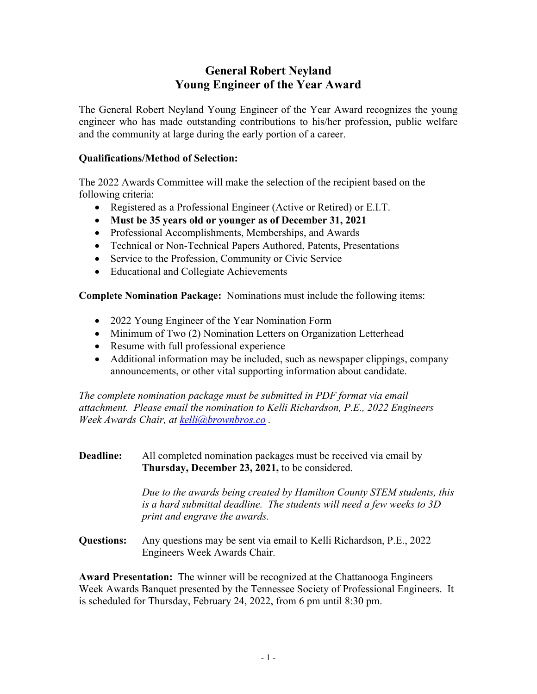# **General Robert Neyland Young Engineer of the Year Award**

The General Robert Neyland Young Engineer of the Year Award recognizes the young engineer who has made outstanding contributions to his/her profession, public welfare and the community at large during the early portion of a career.

## **Qualifications/Method of Selection:**

The 2022 Awards Committee will make the selection of the recipient based on the following criteria:

- Registered as a Professional Engineer (Active or Retired) or E.I.T.
- **Must be 35 years old or younger as of December 31, 2021**
- Professional Accomplishments, Memberships, and Awards
- Technical or Non-Technical Papers Authored, Patents, Presentations
- Service to the Profession, Community or Civic Service
- Educational and Collegiate Achievements

**Complete Nomination Package:** Nominations must include the following items:

- 2022 Young Engineer of the Year Nomination Form
- Minimum of Two (2) Nomination Letters on Organization Letterhead
- Resume with full professional experience
- Additional information may be included, such as newspaper clippings, company announcements, or other vital supporting information about candidate.

*The complete nomination package must be submitted in PDF format via email attachment. Please email the nomination to Kelli Richardson, P.E., 2022 Engineers Week Awards Chair, at kelli@brownbros.co .* 

### **Deadline:** All completed nomination packages must be received via email by **Thursday, December 23, 2021,** to be considered.

 *Due to the awards being created by Hamilton County STEM students, this is a hard submittal deadline. The students will need a few weeks to 3D print and engrave the awards.* 

**Questions:** Any questions may be sent via email to Kelli Richardson, P.E., 2022 Engineers Week Awards Chair.

**Award Presentation:** The winner will be recognized at the Chattanooga Engineers Week Awards Banquet presented by the Tennessee Society of Professional Engineers. It is scheduled for Thursday, February 24, 2022, from 6 pm until 8:30 pm.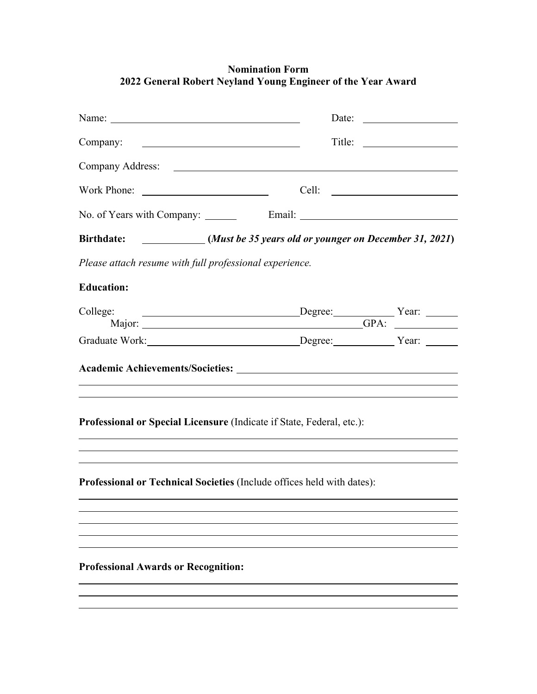## **Nomination Form 2022 General Robert Neyland Young Engineer of the Year Award**

|                                                                                                                                                                                                                                                                   |  | Date: |
|-------------------------------------------------------------------------------------------------------------------------------------------------------------------------------------------------------------------------------------------------------------------|--|-------|
| Company:                                                                                                                                                                                                                                                          |  |       |
| Company Address: <u>New York: New York: New York: New York: New York: New York: New York: New York: New York: New York: New York: New York: New York: New York: New York: New York: New York: New York: New York: New York: New </u>                              |  |       |
| Work Phone:                                                                                                                                                                                                                                                       |  |       |
|                                                                                                                                                                                                                                                                   |  |       |
| Birthdate: ___________(Must be 35 years old or younger on December 31, 2021)                                                                                                                                                                                      |  |       |
| Please attach resume with full professional experience.                                                                                                                                                                                                           |  |       |
| <b>Education:</b>                                                                                                                                                                                                                                                 |  |       |
| College:<br>Degree: Year: Year:<br>Major: CHARLES CONSULTER CONSUMING THE CONSUMING THE CONSUMING THE CONSUMING THE CONSUMING THE CONSUMING THE CONSUMING THE CONSUMING THE CONSUMING THE CONSUMING THE CONSUMING THE CONSUMING THE CONSUMING THE CONSUMING THE C |  |       |
| Graduate Work: Degree: Vear: Vear:                                                                                                                                                                                                                                |  |       |
|                                                                                                                                                                                                                                                                   |  |       |
| Professional or Special Licensure (Indicate if State, Federal, etc.):                                                                                                                                                                                             |  |       |
| Professional or Technical Societies (Include offices held with dates):                                                                                                                                                                                            |  |       |
|                                                                                                                                                                                                                                                                   |  |       |
|                                                                                                                                                                                                                                                                   |  |       |
| <b>Professional Awards or Recognition:</b>                                                                                                                                                                                                                        |  |       |
|                                                                                                                                                                                                                                                                   |  |       |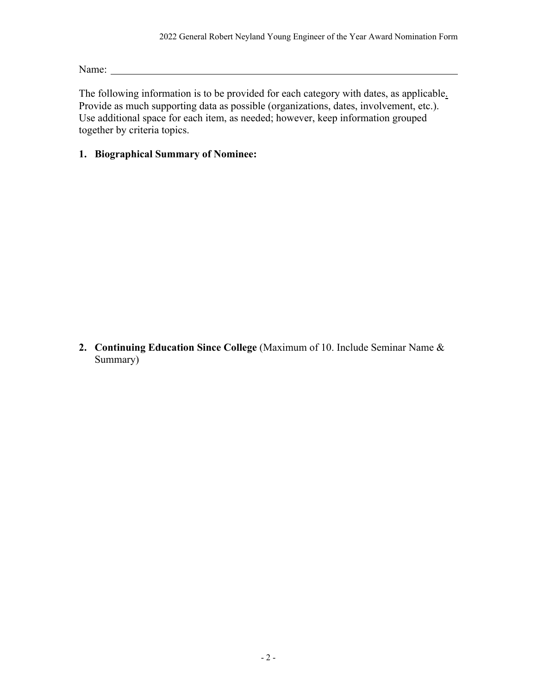Name:

The following information is to be provided for each category with dates, as applicable. Provide as much supporting data as possible (organizations, dates, involvement, etc.). Use additional space for each item, as needed; however, keep information grouped together by criteria topics.

## **1. Biographical Summary of Nominee:**

**2. Continuing Education Since College** (Maximum of 10. Include Seminar Name & Summary)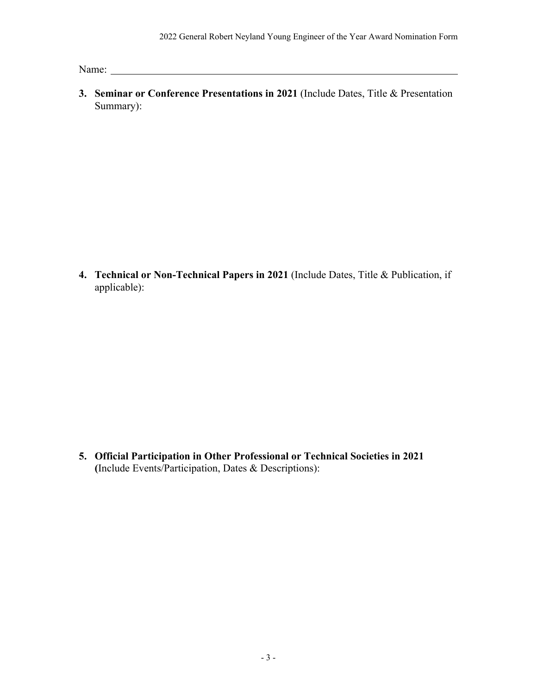Name:

**3. Seminar or Conference Presentations in 2021** (Include Dates, Title & Presentation Summary):

**4. Technical or Non-Technical Papers in 2021** (Include Dates, Title & Publication, if applicable):

**5. Official Participation in Other Professional or Technical Societies in 2021 (**Include Events/Participation, Dates & Descriptions):